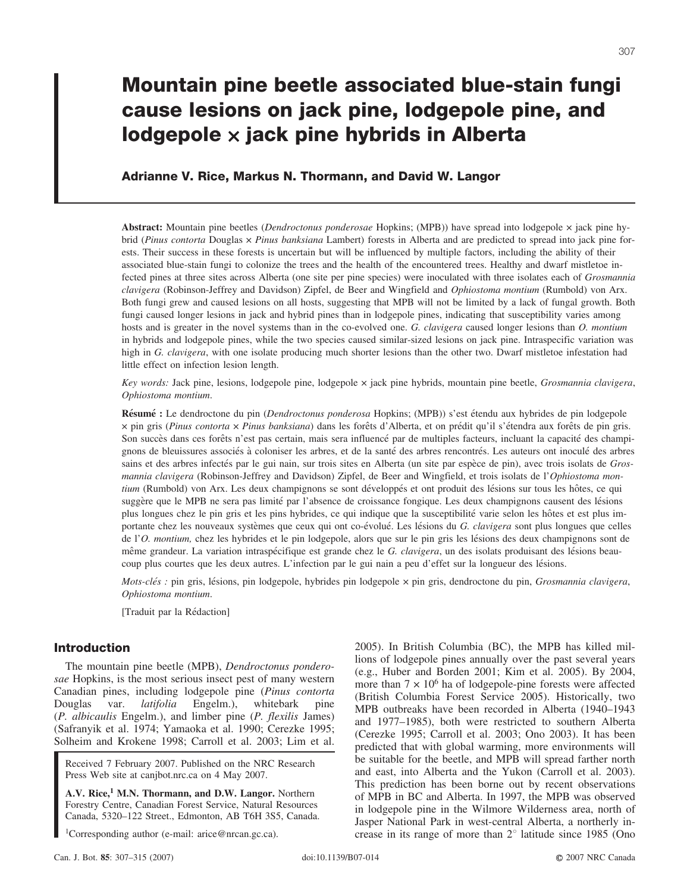# **Mountain pine beetle associated blue-stain fungi cause lesions on jack pine, lodgepole pine, and lodgepole jack pine hybrids in Alberta**

# **Adrianne V. Rice, Markus N. Thormann, and David W. Langor**

**Abstract:** Mountain pine beetles (*Dendroctonus ponderosae* Hopkins; (MPB)) have spread into lodgepole jack pine hybrid (*Pinus contorta* Douglas x *Pinus banksiana* Lambert) forests in Alberta and are predicted to spread into jack pine forests. Their success in these forests is uncertain but will be influenced by multiple factors, including the ability of their associated blue-stain fungi to colonize the trees and the health of the encountered trees. Healthy and dwarf mistletoe infected pines at three sites across Alberta (one site per pine species) were inoculated with three isolates each of *Grosmannia clavigera* (Robinson-Jeffrey and Davidson) Zipfel, de Beer and Wingfield and *Ophiostoma montium* (Rumbold) von Arx. Both fungi grew and caused lesions on all hosts, suggesting that MPB will not be limited by a lack of fungal growth. Both fungi caused longer lesions in jack and hybrid pines than in lodgepole pines, indicating that susceptibility varies among hosts and is greater in the novel systems than in the co-evolved one. *G. clavigera* caused longer lesions than *O. montium* in hybrids and lodgepole pines, while the two species caused similar-sized lesions on jack pine. Intraspecific variation was high in *G. clavigera*, with one isolate producing much shorter lesions than the other two. Dwarf mistletoe infestation had little effect on infection lesion length.

*Key words:* Jack pine, lesions, lodgepole pine, lodgepole jack pine hybrids, mountain pine beetle, *Grosmannia clavigera*, *Ophiostoma montium*.

**Résumé :** Le dendroctone du pin (*Dendroctonus ponderosa* Hopkins; (MPB)) s'est étendu aux hybrides de pin lodgepole × pin gris (Pinus contorta × Pinus banksiana) dans les forêts d'Alberta, et on prédit qu'il s'étendra aux forêts de pin gris. Son succès dans ces forêts n'est pas certain, mais sera influencé par de multiples facteurs, incluant la capacité des champignons de bleuissures associés à coloniser les arbres, et de la santé des arbres rencontrés. Les auteurs ont inoculé des arbres sains et des arbres infectés par le gui nain, sur trois sites en Alberta (un site par espèce de pin), avec trois isolats de *Grosmannia clavigera* (Robinson-Jeffrey and Davidson) Zipfel, de Beer and Wingfield, et trois isolats de l'*Ophiostoma montium* (Rumbold) von Arx. Les deux champignons se sont développés et ont produit des lésions sur tous les hôtes, ce qui suggère que le MPB ne sera pas limité par l'absence de croissance fongique. Les deux champignons causent des lésions plus longues chez le pin gris et les pins hybrides, ce qui indique que la susceptibilité varie selon les hôtes et est plus importante chez les nouveaux systèmes que ceux qui ont co-évolué. Les lésions du *G. clavigera* sont plus longues que celles de l'*O. montium*, chez les hybrides et le pin lodgepole, alors que sur le pin gris les lésions des deux champignons sont de même grandeur. La variation intraspécifique est grande chez le G. clavigera, un des isolats produisant des lésions beaucoup plus courtes que les deux autres. L'infection par le gui nain a peu d'effet sur la longueur des lésions.

*Mots-clés :* pin gris, lésions, pin lodgepole, hybrides pin lodgepole x pin gris, dendroctone du pin, *Grosmannia clavigera*, *Ophiostoma montium*.

[Traduit par la Rédaction]

## **Introduction**

The mountain pine beetle (MPB), *Dendroctonus ponderosae* Hopkins, is the most serious insect pest of many western Canadian pines, including lodgepole pine (*Pinus contorta* Douglas var. *latifolia* Engelm.), whitebark pine (*P. albicaulis* Engelm.), and limber pine (*P. flexilis* James) (Safranyik et al. 1974; Yamaoka et al. 1990; Cerezke 1995; Solheim and Krokene 1998; Carroll et al. 2003; Lim et al.

Received 7 February 2007. Published on the NRC Research Press Web site at canjbot.nrc.ca on 4 May 2007.

**A.V. Rice,<sup>1</sup> M.N. Thormann, and D.W. Langor.** Northern Forestry Centre, Canadian Forest Service, Natural Resources Canada, 5320–122 Street., Edmonton, AB T6H 3S5, Canada.

1Corresponding author (e-mail: arice@nrcan.gc.ca).

2005). In British Columbia (BC), the MPB has killed millions of lodgepole pines annually over the past several years (e.g., Huber and Borden 2001; Kim et al. 2005). By 2004, more than  $7 \times 10^6$  ha of lodgepole-pine forests were affected (British Columbia Forest Service 2005). Historically, two MPB outbreaks have been recorded in Alberta (1940–1943 and 1977–1985), both were restricted to southern Alberta (Cerezke 1995; Carroll et al. 2003; Ono 2003). It has been predicted that with global warming, more environments will be suitable for the beetle, and MPB will spread farther north and east, into Alberta and the Yukon (Carroll et al. 2003). This prediction has been borne out by recent observations of MPB in BC and Alberta. In 1997, the MPB was observed in lodgepole pine in the Wilmore Wilderness area, north of Jasper National Park in west-central Alberta, a northerly increase in its range of more than  $2^{\circ}$  latitude since 1985 (Ono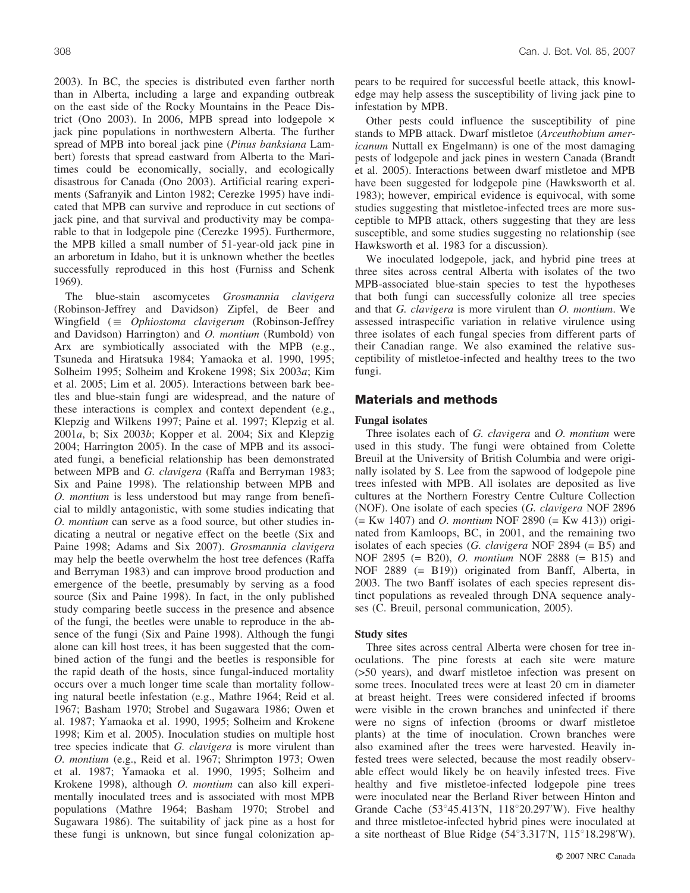2003). In BC, the species is distributed even farther north than in Alberta, including a large and expanding outbreak on the east side of the Rocky Mountains in the Peace District (Ono 2003). In 2006, MPB spread into lodgepole  $\times$ jack pine populations in northwestern Alberta. The further spread of MPB into boreal jack pine (*Pinus banksiana* Lambert) forests that spread eastward from Alberta to the Maritimes could be economically, socially, and ecologically disastrous for Canada (Ono 2003). Artificial rearing experiments (Safranyik and Linton 1982; Cerezke 1995) have indicated that MPB can survive and reproduce in cut sections of jack pine, and that survival and productivity may be comparable to that in lodgepole pine (Cerezke 1995). Furthermore, the MPB killed a small number of 51-year-old jack pine in an arboretum in Idaho, but it is unknown whether the beetles successfully reproduced in this host (Furniss and Schenk 1969).

The blue-stain ascomycetes *Grosmannia clavigera* (Robinson-Jeffrey and Davidson) Zipfel, de Beer and Wingfield ( $\equiv$  *Ophiostoma clavigerum* (Robinson-Jeffrey and Davidson) Harrington) and *O. montium* (Rumbold) von Arx are symbiotically associated with the MPB (e.g., Tsuneda and Hiratsuka 1984; Yamaoka et al. 1990, 1995; Solheim 1995; Solheim and Krokene 1998; Six 2003*a*; Kim et al. 2005; Lim et al. 2005). Interactions between bark beetles and blue-stain fungi are widespread, and the nature of these interactions is complex and context dependent (e.g., Klepzig and Wilkens 1997; Paine et al. 1997; Klepzig et al. 2001*a*, b; Six 2003*b*; Kopper et al. 2004; Six and Klepzig 2004; Harrington 2005). In the case of MPB and its associated fungi, a beneficial relationship has been demonstrated between MPB and *G. clavigera* (Raffa and Berryman 1983; Six and Paine 1998). The relationship between MPB and *O. montium* is less understood but may range from beneficial to mildly antagonistic, with some studies indicating that *O. montium* can serve as a food source, but other studies indicating a neutral or negative effect on the beetle (Six and Paine 1998; Adams and Six 2007). *Grosmannia clavigera* may help the beetle overwhelm the host tree defences (Raffa and Berryman 1983) and can improve brood production and emergence of the beetle, presumably by serving as a food source (Six and Paine 1998). In fact, in the only published study comparing beetle success in the presence and absence of the fungi, the beetles were unable to reproduce in the absence of the fungi (Six and Paine 1998). Although the fungi alone can kill host trees, it has been suggested that the combined action of the fungi and the beetles is responsible for the rapid death of the hosts, since fungal-induced mortality occurs over a much longer time scale than mortality following natural beetle infestation (e.g., Mathre 1964; Reid et al. 1967; Basham 1970; Strobel and Sugawara 1986; Owen et al. 1987; Yamaoka et al. 1990, 1995; Solheim and Krokene 1998; Kim et al. 2005). Inoculation studies on multiple host tree species indicate that *G. clavigera* is more virulent than *O. montium* (e.g., Reid et al. 1967; Shrimpton 1973; Owen et al. 1987; Yamaoka et al. 1990, 1995; Solheim and Krokene 1998), although *O. montium* can also kill experimentally inoculated trees and is associated with most MPB populations (Mathre 1964; Basham 1970; Strobel and Sugawara 1986). The suitability of jack pine as a host for these fungi is unknown, but since fungal colonization appears to be required for successful beetle attack, this knowledge may help assess the susceptibility of living jack pine to infestation by MPB.

Other pests could influence the susceptibility of pine stands to MPB attack. Dwarf mistletoe (*Arceuthobium americanum* Nuttall ex Engelmann) is one of the most damaging pests of lodgepole and jack pines in western Canada (Brandt et al. 2005). Interactions between dwarf mistletoe and MPB have been suggested for lodgepole pine (Hawksworth et al. 1983); however, empirical evidence is equivocal, with some studies suggesting that mistletoe-infected trees are more susceptible to MPB attack, others suggesting that they are less susceptible, and some studies suggesting no relationship (see Hawksworth et al. 1983 for a discussion).

We inoculated lodgepole, jack, and hybrid pine trees at three sites across central Alberta with isolates of the two MPB-associated blue-stain species to test the hypotheses that both fungi can successfully colonize all tree species and that *G. clavigera* is more virulent than *O. montium*. We assessed intraspecific variation in relative virulence using three isolates of each fungal species from different parts of their Canadian range. We also examined the relative susceptibility of mistletoe-infected and healthy trees to the two fungi.

## **Materials and methods**

## **Fungal isolates**

Three isolates each of *G. clavigera* and *O. montium* were used in this study. The fungi were obtained from Colette Breuil at the University of British Columbia and were originally isolated by S. Lee from the sapwood of lodgepole pine trees infested with MPB. All isolates are deposited as live cultures at the Northern Forestry Centre Culture Collection (NOF). One isolate of each species (*G. clavigera* NOF 2896 (= Kw 1407) and *O. montium* NOF 2890 (= Kw 413)) originated from Kamloops, BC, in 2001, and the remaining two isolates of each species (*G. clavigera* NOF 2894 (= B5) and NOF 2895 (= B20), *O. montium* NOF 2888 (= B15) and NOF 2889 (= B19)) originated from Banff, Alberta, in 2003. The two Banff isolates of each species represent distinct populations as revealed through DNA sequence analyses (C. Breuil, personal communication, 2005).

## **Study sites**

Three sites across central Alberta were chosen for tree inoculations. The pine forests at each site were mature (>50 years), and dwarf mistletoe infection was present on some trees. Inoculated trees were at least 20 cm in diameter at breast height. Trees were considered infected if brooms were visible in the crown branches and uninfected if there were no signs of infection (brooms or dwarf mistletoe plants) at the time of inoculation. Crown branches were also examined after the trees were harvested. Heavily infested trees were selected, because the most readily observable effect would likely be on heavily infested trees. Five healthy and five mistletoe-infected lodgepole pine trees were inoculated near the Berland River between Hinton and Grande Cache (53 $\degree$ 45.413'N, 118 $\degree$ 20.297'W). Five healthy and three mistletoe-infected hybrid pines were inoculated at a site northeast of Blue Ridge  $(54^{\circ}3.317'N, 115^{\circ}18.298'W)$ .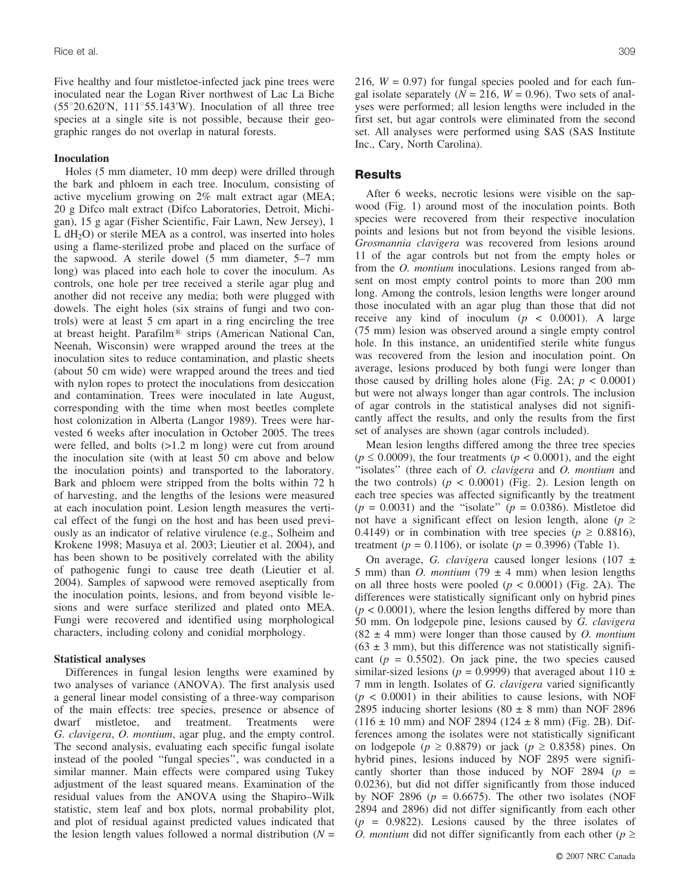Five healthy and four mistletoe-infected jack pine trees were inoculated near the Logan River northwest of Lac La Biche  $(55^{\circ}20.620'N, 111^{\circ}55.143'W)$ . Inoculation of all three tree species at a single site is not possible, because their geographic ranges do not overlap in natural forests.

#### **Inoculation**

Holes (5 mm diameter, 10 mm deep) were drilled through the bark and phloem in each tree. Inoculum, consisting of active mycelium growing on 2% malt extract agar (MEA; 20 g Difco malt extract (Difco Laboratories, Detroit, Michigan), 15 g agar (Fisher Scientific, Fair Lawn, New Jersey), 1  $L dH<sub>2</sub>O$  or sterile MEA as a control, was inserted into holes using a flame-sterilized probe and placed on the surface of the sapwood. A sterile dowel (5 mm diameter, 5–7 mm long) was placed into each hole to cover the inoculum. As controls, one hole per tree received a sterile agar plug and another did not receive any media; both were plugged with dowels. The eight holes (six strains of fungi and two controls) were at least 5 cm apart in a ring encircling the tree at breast height. Parafilm® strips (American National Can, Neenah, Wisconsin) were wrapped around the trees at the inoculation sites to reduce contamination, and plastic sheets (about 50 cm wide) were wrapped around the trees and tied with nylon ropes to protect the inoculations from desiccation and contamination. Trees were inoculated in late August, corresponding with the time when most beetles complete host colonization in Alberta (Langor 1989). Trees were harvested 6 weeks after inoculation in October 2005. The trees were felled, and bolts (>1.2 m long) were cut from around the inoculation site (with at least 50 cm above and below the inoculation points) and transported to the laboratory. Bark and phloem were stripped from the bolts within 72 h of harvesting, and the lengths of the lesions were measured at each inoculation point. Lesion length measures the vertical effect of the fungi on the host and has been used previously as an indicator of relative virulence (e.g., Solheim and Krokene 1998; Masuya et al. 2003; Lieutier et al. 2004), and has been shown to be positively correlated with the ability of pathogenic fungi to cause tree death (Lieutier et al. 2004). Samples of sapwood were removed aseptically from the inoculation points, lesions, and from beyond visible lesions and were surface sterilized and plated onto MEA. Fungi were recovered and identified using morphological characters, including colony and conidial morphology.

#### **Statistical analyses**

Differences in fungal lesion lengths were examined by two analyses of variance (ANOVA). The first analysis used a general linear model consisting of a three-way comparison of the main effects: tree species, presence or absence of dwarf mistletoe, and treatment. Treatments were *G. clavigera*, *O. montium*, agar plug, and the empty control. The second analysis, evaluating each specific fungal isolate instead of the pooled ''fungal species'', was conducted in a similar manner. Main effects were compared using Tukey adjustment of the least squared means. Examination of the residual values from the ANOVA using the Shapiro–Wilk statistic, stem leaf and box plots, normal probability plot, and plot of residual against predicted values indicated that the lesion length values followed a normal distribution  $(N =$  216,  $W = 0.97$ ) for fungal species pooled and for each fungal isolate separately  $(N = 216, W = 0.96)$ . Two sets of analyses were performed; all lesion lengths were included in the first set, but agar controls were eliminated from the second set. All analyses were performed using SAS (SAS Institute Inc., Cary, North Carolina).

## **Results**

After 6 weeks, necrotic lesions were visible on the sapwood (Fig. 1) around most of the inoculation points. Both species were recovered from their respective inoculation points and lesions but not from beyond the visible lesions. *Grosmannia clavigera* was recovered from lesions around 11 of the agar controls but not from the empty holes or from the *O. montium* inoculations. Lesions ranged from absent on most empty control points to more than 200 mm long. Among the controls, lesion lengths were longer around those inoculated with an agar plug than those that did not receive any kind of inoculum  $(p < 0.0001)$ . A large (75 mm) lesion was observed around a single empty control hole. In this instance, an unidentified sterile white fungus was recovered from the lesion and inoculation point. On average, lesions produced by both fungi were longer than those caused by drilling holes alone (Fig. 2A;  $p < 0.0001$ ) but were not always longer than agar controls. The inclusion of agar controls in the statistical analyses did not significantly affect the results, and only the results from the first set of analyses are shown (agar controls included).

Mean lesion lengths differed among the three tree species  $(p \le 0.0009)$ , the four treatments  $(p < 0.0001)$ , and the eight ''isolates'' (three each of *O. clavigera* and *O. montium* and the two controls)  $(p < 0.0001)$  (Fig. 2). Lesion length on each tree species was affected significantly by the treatment  $(p = 0.0031)$  and the "isolate"  $(p = 0.0386)$ . Mistletoe did not have a significant effect on lesion length, alone ( $p \ge$ 0.4149) or in combination with tree species ( $p \ge 0.8816$ ), treatment ( $p = 0.1106$ ), or isolate ( $p = 0.3996$ ) (Table 1).

On average, *G. clavigera* caused longer lesions  $(107 \pm 100)$ 5 mm) than *O. montium* (79  $\pm$  4 mm) when lesion lengths on all three hosts were pooled  $(p < 0.0001)$  (Fig. 2A). The differences were statistically significant only on hybrid pines  $(p < 0.0001)$ , where the lesion lengths differed by more than 50 mm. On lodgepole pine, lesions caused by *G. clavigera* (82 ± 4 mm) were longer than those caused by *O. montium*  $(63 \pm 3 \text{ mm})$ , but this difference was not statistically significant  $(p = 0.5502)$ . On jack pine, the two species caused similar-sized lesions ( $p = 0.9999$ ) that averaged about  $110 \pm$ 7 mm in length. Isolates of *G. clavigera* varied significantly  $(p < 0.0001)$  in their abilities to cause lesions, with NOF 2895 inducing shorter lesions (80  $\pm$  8 mm) than NOF 2896  $(116 \pm 10 \text{ mm})$  and NOF 2894  $(124 \pm 8 \text{ mm})$  (Fig. 2B). Differences among the isolates were not statistically significant on lodgepole ( $p \ge 0.8879$ ) or jack ( $p \ge 0.8358$ ) pines. On hybrid pines, lesions induced by NOF 2895 were significantly shorter than those induced by NOF 2894  $(p =$ 0.0236), but did not differ significantly from those induced by NOF 2896 ( $p = 0.6675$ ). The other two isolates (NOF 2894 and 2896) did not differ significantly from each other  $(p = 0.9822)$ . Lesions caused by the three isolates of *O. montium* did not differ significantly from each other ( $p \ge$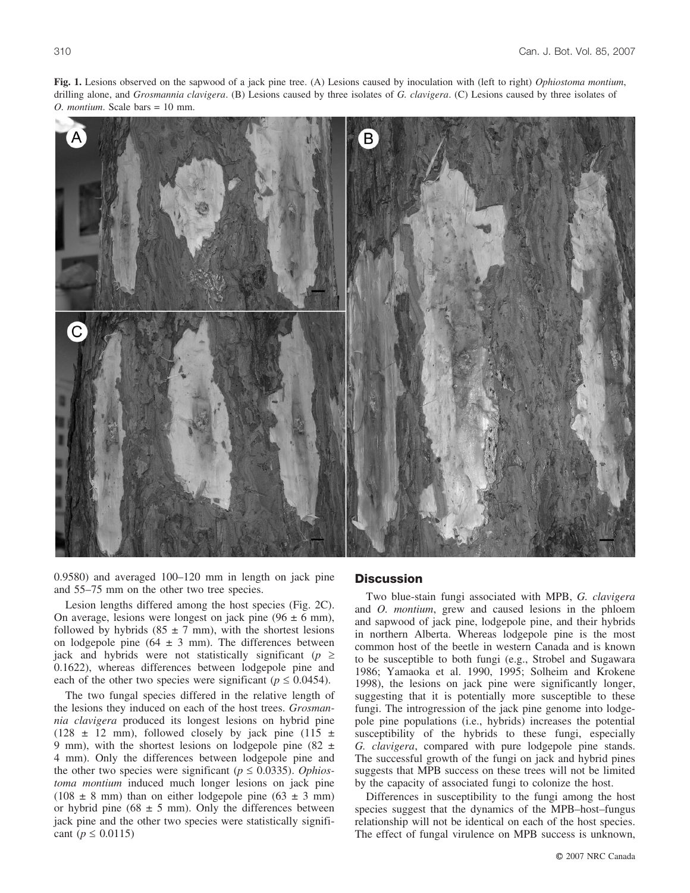**Fig. 1.** Lesions observed on the sapwood of a jack pine tree. (A) Lesions caused by inoculation with (left to right) *Ophiostoma montium*, drilling alone, and *Grosmannia clavigera*. (B) Lesions caused by three isolates of *G. clavigera*. (C) Lesions caused by three isolates of *O. montium*. Scale bars = 10 mm.



0.9580) and averaged 100–120 mm in length on jack pine and 55–75 mm on the other two tree species.

Lesion lengths differed among the host species (Fig. 2C). On average, lesions were longest on jack pine  $(96 \pm 6 \text{ mm})$ , followed by hybrids (85  $\pm$  7 mm), with the shortest lesions on lodgepole pine  $(64 \pm 3 \text{ mm})$ . The differences between jack and hybrids were not statistically significant ( $p \ge$ 0.1622), whereas differences between lodgepole pine and each of the other two species were significant ( $p \le 0.0454$ ).

The two fungal species differed in the relative length of the lesions they induced on each of the host trees. *Grosmannia clavigera* produced its longest lesions on hybrid pine  $(128 \pm 12 \text{ mm})$ , followed closely by jack pine  $(115 \pm 12 \text{ mm})$ 9 mm), with the shortest lesions on lodgepole pine  $(82 \pm 1)$ 4 mm). Only the differences between lodgepole pine and the other two species were significant ( $p \leq 0.0335$ ). *Ophiostoma montium* induced much longer lesions on jack pine  $(108 \pm 8 \text{ mm})$  than on either lodgepole pine  $(63 \pm 3 \text{ mm})$ or hybrid pine ( $68 \pm 5$  mm). Only the differences between jack pine and the other two species were statistically significant ( $p \le 0.0115$ )

## **Discussion**

Two blue-stain fungi associated with MPB, *G. clavigera* and *O. montium*, grew and caused lesions in the phloem and sapwood of jack pine, lodgepole pine, and their hybrids in northern Alberta. Whereas lodgepole pine is the most common host of the beetle in western Canada and is known to be susceptible to both fungi (e.g., Strobel and Sugawara 1986; Yamaoka et al. 1990, 1995; Solheim and Krokene 1998), the lesions on jack pine were significantly longer, suggesting that it is potentially more susceptible to these fungi. The introgression of the jack pine genome into lodgepole pine populations (i.e., hybrids) increases the potential susceptibility of the hybrids to these fungi, especially *G. clavigera*, compared with pure lodgepole pine stands. The successful growth of the fungi on jack and hybrid pines suggests that MPB success on these trees will not be limited by the capacity of associated fungi to colonize the host.

Differences in susceptibility to the fungi among the host species suggest that the dynamics of the MPB–host–fungus relationship will not be identical on each of the host species. The effect of fungal virulence on MPB success is unknown,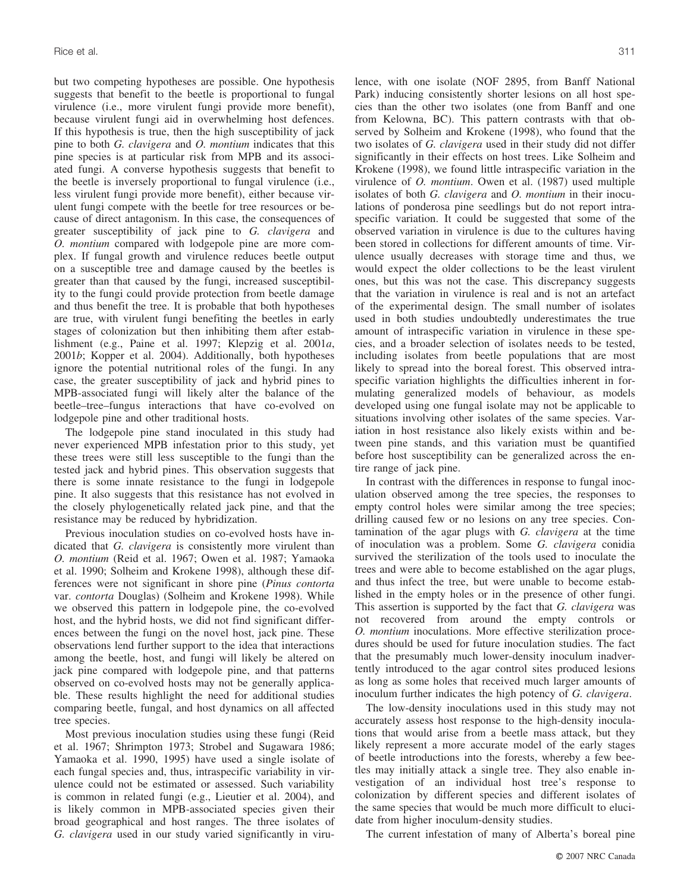but two competing hypotheses are possible. One hypothesis suggests that benefit to the beetle is proportional to fungal virulence (i.e., more virulent fungi provide more benefit), because virulent fungi aid in overwhelming host defences. If this hypothesis is true, then the high susceptibility of jack pine to both *G. clavigera* and *O. montium* indicates that this pine species is at particular risk from MPB and its associated fungi. A converse hypothesis suggests that benefit to the beetle is inversely proportional to fungal virulence (i.e., less virulent fungi provide more benefit), either because virulent fungi compete with the beetle for tree resources or because of direct antagonism. In this case, the consequences of greater susceptibility of jack pine to *G. clavigera* and *O. montium* compared with lodgepole pine are more complex. If fungal growth and virulence reduces beetle output on a susceptible tree and damage caused by the beetles is greater than that caused by the fungi, increased susceptibility to the fungi could provide protection from beetle damage and thus benefit the tree. It is probable that both hypotheses are true, with virulent fungi benefiting the beetles in early stages of colonization but then inhibiting them after establishment (e.g., Paine et al. 1997; Klepzig et al. 2001*a*, 2001*b*; Kopper et al. 2004). Additionally, both hypotheses ignore the potential nutritional roles of the fungi. In any case, the greater susceptibility of jack and hybrid pines to MPB-associated fungi will likely alter the balance of the beetle–tree–fungus interactions that have co-evolved on lodgepole pine and other traditional hosts.

The lodgepole pine stand inoculated in this study had never experienced MPB infestation prior to this study, yet these trees were still less susceptible to the fungi than the tested jack and hybrid pines. This observation suggests that there is some innate resistance to the fungi in lodgepole pine. It also suggests that this resistance has not evolved in the closely phylogenetically related jack pine, and that the resistance may be reduced by hybridization.

Previous inoculation studies on co-evolved hosts have indicated that *G. clavigera* is consistently more virulent than *O. montium* (Reid et al. 1967; Owen et al. 1987; Yamaoka et al. 1990; Solheim and Krokene 1998), although these differences were not significant in shore pine (*Pinus contorta* var. *contorta* Douglas) (Solheim and Krokene 1998). While we observed this pattern in lodgepole pine, the co-evolved host, and the hybrid hosts, we did not find significant differences between the fungi on the novel host, jack pine. These observations lend further support to the idea that interactions among the beetle, host, and fungi will likely be altered on jack pine compared with lodgepole pine, and that patterns observed on co-evolved hosts may not be generally applicable. These results highlight the need for additional studies comparing beetle, fungal, and host dynamics on all affected tree species.

Most previous inoculation studies using these fungi (Reid et al. 1967; Shrimpton 1973; Strobel and Sugawara 1986; Yamaoka et al. 1990, 1995) have used a single isolate of each fungal species and, thus, intraspecific variability in virulence could not be estimated or assessed. Such variability is common in related fungi (e.g., Lieutier et al. 2004), and is likely common in MPB-associated species given their broad geographical and host ranges. The three isolates of *G. clavigera* used in our study varied significantly in virulence, with one isolate (NOF 2895, from Banff National Park) inducing consistently shorter lesions on all host species than the other two isolates (one from Banff and one from Kelowna, BC). This pattern contrasts with that observed by Solheim and Krokene (1998), who found that the two isolates of *G. clavigera* used in their study did not differ significantly in their effects on host trees. Like Solheim and Krokene (1998), we found little intraspecific variation in the virulence of *O. montium*. Owen et al. (1987) used multiple isolates of both *G. clavigera* and *O. montium* in their inoculations of ponderosa pine seedlings but do not report intraspecific variation. It could be suggested that some of the observed variation in virulence is due to the cultures having been stored in collections for different amounts of time. Virulence usually decreases with storage time and thus, we would expect the older collections to be the least virulent ones, but this was not the case. This discrepancy suggests that the variation in virulence is real and is not an artefact of the experimental design. The small number of isolates used in both studies undoubtedly underestimates the true amount of intraspecific variation in virulence in these species, and a broader selection of isolates needs to be tested, including isolates from beetle populations that are most likely to spread into the boreal forest. This observed intraspecific variation highlights the difficulties inherent in formulating generalized models of behaviour, as models developed using one fungal isolate may not be applicable to situations involving other isolates of the same species. Variation in host resistance also likely exists within and between pine stands, and this variation must be quantified before host susceptibility can be generalized across the entire range of jack pine.

In contrast with the differences in response to fungal inoculation observed among the tree species, the responses to empty control holes were similar among the tree species; drilling caused few or no lesions on any tree species. Contamination of the agar plugs with *G. clavigera* at the time of inoculation was a problem. Some *G. clavigera* conidia survived the sterilization of the tools used to inoculate the trees and were able to become established on the agar plugs, and thus infect the tree, but were unable to become established in the empty holes or in the presence of other fungi. This assertion is supported by the fact that *G. clavigera* was not recovered from around the empty controls or *O. montium* inoculations. More effective sterilization procedures should be used for future inoculation studies. The fact that the presumably much lower-density inoculum inadvertently introduced to the agar control sites produced lesions as long as some holes that received much larger amounts of inoculum further indicates the high potency of *G. clavigera*.

The low-density inoculations used in this study may not accurately assess host response to the high-density inoculations that would arise from a beetle mass attack, but they likely represent a more accurate model of the early stages of beetle introductions into the forests, whereby a few beetles may initially attack a single tree. They also enable investigation of an individual host tree's response to colonization by different species and different isolates of the same species that would be much more difficult to elucidate from higher inoculum-density studies.

The current infestation of many of Alberta's boreal pine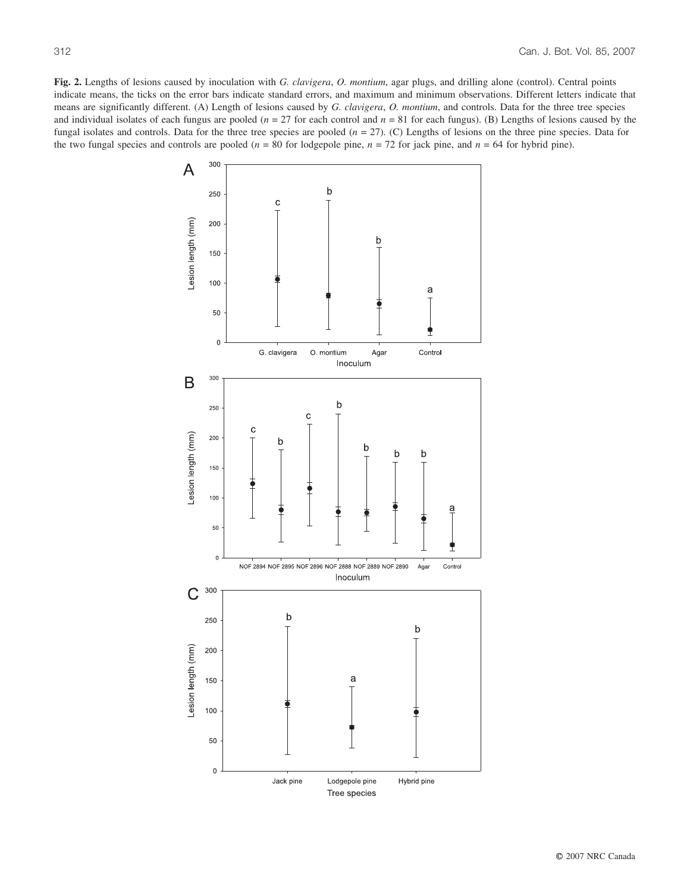**Fig. 2.** Lengths of lesions caused by inoculation with *G. clavigera*, *O. montium*, agar plugs, and drilling alone (control). Central points indicate means, the ticks on the error bars indicate standard errors, and maximum and minimum observations. Different letters indicate that means are significantly different. (A) Length of lesions caused by *G. clavigera*, *O. montium*, and controls. Data for the three tree species and individual isolates of each fungus are pooled ( $n = 27$  for each control and  $n = 81$  for each fungus). (B) Lengths of lesions caused by the fungal isolates and controls. Data for the three tree species are pooled ( $n = 27$ ). (C) Lengths of lesions on the three pine species. Data for the two fungal species and controls are pooled ( $n = 80$  for lodgepole pine,  $n = 72$  for jack pine, and  $n = 64$  for hybrid pine).

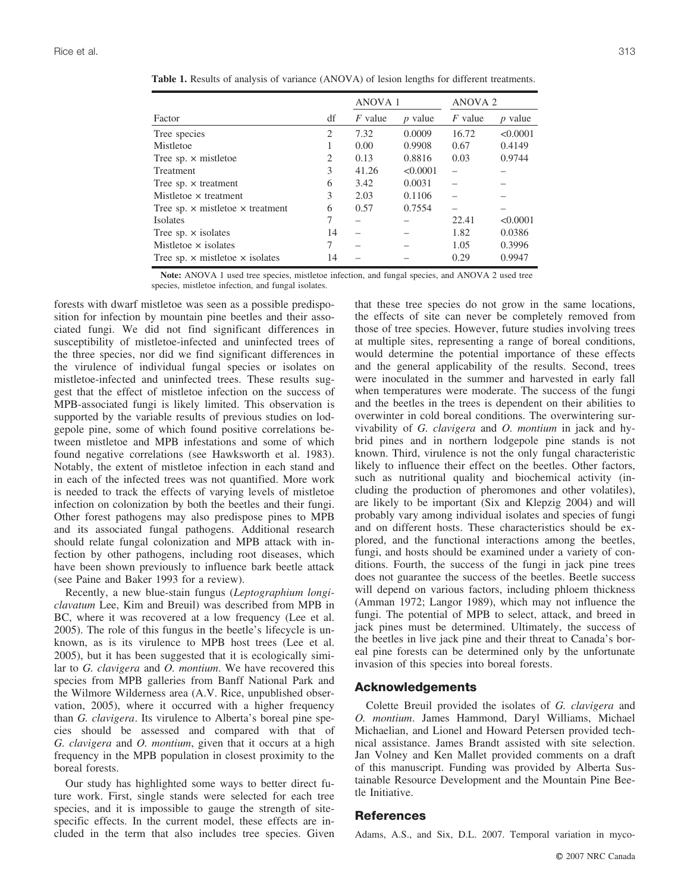|                                                |                | <b>ANOVA 1</b> |           | <b>ANOVA 2</b> |           |
|------------------------------------------------|----------------|----------------|-----------|----------------|-----------|
| Factor                                         | df             | $F$ value      | $p$ value | $F$ value      | $p$ value |
| Tree species                                   | $\overline{2}$ | 7.32           | 0.0009    | 16.72          | < 0.0001  |
| Mistletoe                                      |                | 0.00           | 0.9908    | 0.67           | 0.4149    |
| Tree sp. $\times$ mistletoe                    | 2              | 0.13           | 0.8816    | 0.03           | 0.9744    |
| Treatment                                      | 3              | 41.26          | < 0.0001  |                |           |
| Tree sp. $\times$ treatment                    | 6              | 3.42           | 0.0031    |                |           |
| Mistletoe $\times$ treatment                   | 3              | 2.03           | 0.1106    |                |           |
| Tree sp. $\times$ mistletoe $\times$ treatment | 6              | 0.57           | 0.7554    |                |           |
| Isolates                                       | 7              |                |           | 22.41          | < 0.0001  |
| Tree sp. $\times$ isolates                     | 14             |                |           | 1.82           | 0.0386    |
| Mistletoe $\times$ isolates                    | 7              |                |           | 1.05           | 0.3996    |
| Tree sp. $\times$ mistletoe $\times$ isolates  | 14             |                |           | 0.29           | 0.9947    |

**Table 1.** Results of analysis of variance (ANOVA) of lesion lengths for different treatments.

**Note:** ANOVA 1 used tree species, mistletoe infection, and fungal species, and ANOVA 2 used tree species, mistletoe infection, and fungal isolates.

forests with dwarf mistletoe was seen as a possible predisposition for infection by mountain pine beetles and their associated fungi. We did not find significant differences in susceptibility of mistletoe-infected and uninfected trees of the three species, nor did we find significant differences in the virulence of individual fungal species or isolates on mistletoe-infected and uninfected trees. These results suggest that the effect of mistletoe infection on the success of MPB-associated fungi is likely limited. This observation is supported by the variable results of previous studies on lodgepole pine, some of which found positive correlations between mistletoe and MPB infestations and some of which found negative correlations (see Hawksworth et al. 1983). Notably, the extent of mistletoe infection in each stand and in each of the infected trees was not quantified. More work is needed to track the effects of varying levels of mistletoe infection on colonization by both the beetles and their fungi. Other forest pathogens may also predispose pines to MPB and its associated fungal pathogens. Additional research should relate fungal colonization and MPB attack with infection by other pathogens, including root diseases, which have been shown previously to influence bark beetle attack (see Paine and Baker 1993 for a review).

Recently, a new blue-stain fungus (*Leptographium longiclavatum* Lee, Kim and Breuil) was described from MPB in BC, where it was recovered at a low frequency (Lee et al. 2005). The role of this fungus in the beetle's lifecycle is unknown, as is its virulence to MPB host trees (Lee et al. 2005), but it has been suggested that it is ecologically similar to *G. clavigera* and *O. montium*. We have recovered this species from MPB galleries from Banff National Park and the Wilmore Wilderness area (A.V. Rice, unpublished observation, 2005), where it occurred with a higher frequency than *G. clavigera*. Its virulence to Alberta's boreal pine species should be assessed and compared with that of *G. clavigera* and *O. montium*, given that it occurs at a high frequency in the MPB population in closest proximity to the boreal forests.

Our study has highlighted some ways to better direct future work. First, single stands were selected for each tree species, and it is impossible to gauge the strength of sitespecific effects. In the current model, these effects are included in the term that also includes tree species. Given that these tree species do not grow in the same locations, the effects of site can never be completely removed from those of tree species. However, future studies involving trees at multiple sites, representing a range of boreal conditions, would determine the potential importance of these effects and the general applicability of the results. Second, trees were inoculated in the summer and harvested in early fall when temperatures were moderate. The success of the fungi and the beetles in the trees is dependent on their abilities to overwinter in cold boreal conditions. The overwintering survivability of *G. clavigera* and *O. montium* in jack and hybrid pines and in northern lodgepole pine stands is not known. Third, virulence is not the only fungal characteristic likely to influence their effect on the beetles. Other factors, such as nutritional quality and biochemical activity (including the production of pheromones and other volatiles), are likely to be important (Six and Klepzig 2004) and will probably vary among individual isolates and species of fungi and on different hosts. These characteristics should be explored, and the functional interactions among the beetles, fungi, and hosts should be examined under a variety of conditions. Fourth, the success of the fungi in jack pine trees does not guarantee the success of the beetles. Beetle success will depend on various factors, including phloem thickness (Amman 1972; Langor 1989), which may not influence the fungi. The potential of MPB to select, attack, and breed in jack pines must be determined. Ultimately, the success of the beetles in live jack pine and their threat to Canada's boreal pine forests can be determined only by the unfortunate invasion of this species into boreal forests.

## **Acknowledgements**

Colette Breuil provided the isolates of *G. clavigera* and *O. montium*. James Hammond, Daryl Williams, Michael Michaelian, and Lionel and Howard Petersen provided technical assistance. James Brandt assisted with site selection. Jan Volney and Ken Mallet provided comments on a draft of this manuscript. Funding was provided by Alberta Sustainable Resource Development and the Mountain Pine Beetle Initiative.

## **References**

Adams, A.S., and Six, D.L. 2007. Temporal variation in myco-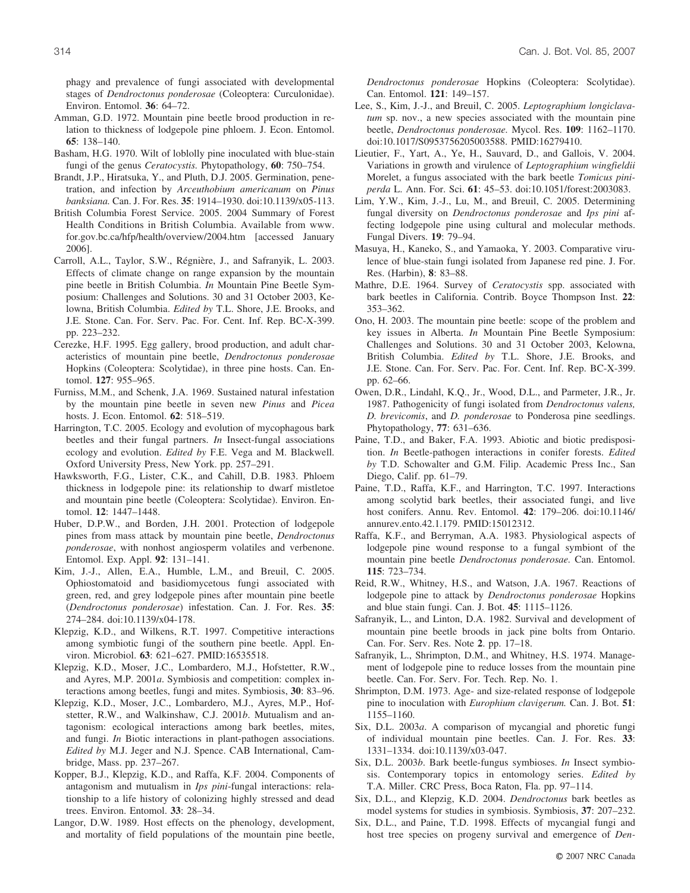phagy and prevalence of fungi associated with developmental stages of *Dendroctonus ponderosae* (Coleoptera: Curculonidae). Environ. Entomol. **36**: 64–72.

- Amman, G.D. 1972. Mountain pine beetle brood production in relation to thickness of lodgepole pine phloem. J. Econ. Entomol. **65**: 138–140.
- Basham, H.G. 1970. Wilt of loblolly pine inoculated with blue-stain fungi of the genus *Ceratocystis.* Phytopathology, **60**: 750–754.
- Brandt, J.P., Hiratsuka, Y., and Pluth, D.J. 2005. Germination, penetration, and infection by *Arceuthobium americanum* on *Pinus banksiana.* Can. J. For. Res. **35**: 1914–1930. doi:10.1139/x05-113.
- British Columbia Forest Service. 2005. 2004 Summary of Forest Health Conditions in British Columbia. Available from www. for.gov.bc.ca/hfp/health/overview/2004.htm [accessed January 2006].
- Carroll, A.L., Taylor, S.W., Régnière, J., and Safranyik, L. 2003. Effects of climate change on range expansion by the mountain pine beetle in British Columbia. *In* Mountain Pine Beetle Symposium: Challenges and Solutions. 30 and 31 October 2003, Kelowna, British Columbia. *Edited by* T.L. Shore, J.E. Brooks, and J.E. Stone. Can. For. Serv. Pac. For. Cent. Inf. Rep. BC-X-399. pp. 223–232.
- Cerezke, H.F. 1995. Egg gallery, brood production, and adult characteristics of mountain pine beetle, *Dendroctonus ponderosae* Hopkins (Coleoptera: Scolytidae), in three pine hosts. Can. Entomol. **127**: 955–965.
- Furniss, M.M., and Schenk, J.A. 1969. Sustained natural infestation by the mountain pine beetle in seven new *Pinus* and *Picea* hosts. J. Econ. Entomol. **62**: 518–519.
- Harrington, T.C. 2005. Ecology and evolution of mycophagous bark beetles and their fungal partners. *In* Insect-fungal associations ecology and evolution. *Edited by* F.E. Vega and M. Blackwell. Oxford University Press, New York. pp. 257–291.
- Hawksworth, F.G., Lister, C.K., and Cahill, D.B. 1983. Phloem thickness in lodgepole pine: its relationship to dwarf mistletoe and mountain pine beetle (Coleoptera: Scolytidae). Environ. Entomol. **12**: 1447–1448.
- Huber, D.P.W., and Borden, J.H. 2001. Protection of lodgepole pines from mass attack by mountain pine beetle, *Dendroctonus ponderosae*, with nonhost angiosperm volatiles and verbenone. Entomol. Exp. Appl. **92**: 131–141.
- Kim, J.-J., Allen, E.A., Humble, L.M., and Breuil, C. 2005. Ophiostomatoid and basidiomycetous fungi associated with green, red, and grey lodgepole pines after mountain pine beetle (*Dendroctonus ponderosae*) infestation. Can. J. For. Res. **35**: 274–284. doi:10.1139/x04-178.
- Klepzig, K.D., and Wilkens, R.T. 1997. Competitive interactions among symbiotic fungi of the southern pine beetle. Appl. Environ. Microbiol. **63**: 621–627. PMID:16535518.
- Klepzig, K.D., Moser, J.C., Lombardero, M.J., Hofstetter, R.W., and Ayres, M.P. 2001*a*. Symbiosis and competition: complex interactions among beetles, fungi and mites. Symbiosis, **30**: 83–96.
- Klepzig, K.D., Moser, J.C., Lombardero, M.J., Ayres, M.P., Hofstetter, R.W., and Walkinshaw, C.J. 2001*b*. Mutualism and antagonism: ecological interactions among bark beetles, mites, and fungi. *In* Biotic interactions in plant-pathogen associations. *Edited by* M.J. Jeger and N.J. Spence. CAB International, Cambridge, Mass. pp. 237–267.
- Kopper, B.J., Klepzig, K.D., and Raffa, K.F. 2004. Components of antagonism and mutualism in *Ips pini*-fungal interactions: relationship to a life history of colonizing highly stressed and dead trees. Environ. Entomol. **33**: 28–34.
- Langor, D.W. 1989. Host effects on the phenology, development, and mortality of field populations of the mountain pine beetle,

*Dendroctonus ponderosae* Hopkins (Coleoptera: Scolytidae). Can. Entomol. **121**: 149–157.

- Lee, S., Kim, J.-J., and Breuil, C. 2005. *Leptographium longiclavatum* sp. nov., a new species associated with the mountain pine beetle, *Dendroctonus ponderosae.* Mycol. Res. **109**: 1162–1170. doi:10.1017/S0953756205003588. PMID:16279410.
- Lieutier, F., Yart, A., Ye, H., Sauvard, D., and Gallois, V. 2004. Variations in growth and virulence of *Leptographium wingfieldii* Morelet, a fungus associated with the bark beetle *Tomicus piniperda* L. Ann. For. Sci. **61**: 45–53. doi:10.1051/forest:2003083.
- Lim, Y.W., Kim, J.-J., Lu, M., and Breuil, C. 2005. Determining fungal diversity on *Dendroctonus ponderosae* and *Ips pini* affecting lodgepole pine using cultural and molecular methods. Fungal Divers. **19**: 79–94.
- Masuya, H., Kaneko, S., and Yamaoka, Y. 2003. Comparative virulence of blue-stain fungi isolated from Japanese red pine. J. For. Res. (Harbin), **8**: 83–88.
- Mathre, D.E. 1964. Survey of *Ceratocystis* spp. associated with bark beetles in California. Contrib. Boyce Thompson Inst. **22**: 353–362.
- Ono, H. 2003. The mountain pine beetle: scope of the problem and key issues in Alberta. *In* Mountain Pine Beetle Symposium: Challenges and Solutions. 30 and 31 October 2003, Kelowna, British Columbia. *Edited by* T.L. Shore, J.E. Brooks, and J.E. Stone. Can. For. Serv. Pac. For. Cent. Inf. Rep. BC-X-399. pp. 62–66.
- Owen, D.R., Lindahl, K.Q., Jr., Wood, D.L., and Parmeter, J.R., Jr. 1987. Pathogenicity of fungi isolated from *Dendroctonus valens, D. brevicomis*, and *D. ponderosae* to Ponderosa pine seedlings. Phytopathology, **77**: 631–636.
- Paine, T.D., and Baker, F.A. 1993. Abiotic and biotic predisposition. *In* Beetle-pathogen interactions in conifer forests. *Edited by* T.D. Schowalter and G.M. Filip. Academic Press Inc., San Diego, Calif. pp. 61–79.
- Paine, T.D., Raffa, K.F., and Harrington, T.C. 1997. Interactions among scolytid bark beetles, their associated fungi, and live host conifers. Annu. Rev. Entomol. **42**: 179–206. doi:10.1146/ annurev.ento.42.1.179. PMID:15012312.
- Raffa, K.F., and Berryman, A.A. 1983. Physiological aspects of lodgepole pine wound response to a fungal symbiont of the mountain pine beetle *Dendroctonus ponderosae.* Can. Entomol. **115**: 723–734.
- Reid, R.W., Whitney, H.S., and Watson, J.A. 1967. Reactions of lodgepole pine to attack by *Dendroctonus ponderosae* Hopkins and blue stain fungi. Can. J. Bot. **45**: 1115–1126.
- Safranyik, L., and Linton, D.A. 1982. Survival and development of mountain pine beetle broods in jack pine bolts from Ontario. Can. For. Serv. Res. Note **2**. pp. 17–18.
- Safranyik, L., Shrimpton, D.M., and Whitney, H.S. 1974. Management of lodgepole pine to reduce losses from the mountain pine beetle. Can. For. Serv. For. Tech. Rep. No. 1.
- Shrimpton, D.M. 1973. Age- and size-related response of lodgepole pine to inoculation with *Europhium clavigerum.* Can. J. Bot. **51**: 1155–1160.
- Six, D.L. 2003*a*. A comparison of mycangial and phoretic fungi of individual mountain pine beetles. Can. J. For. Res. **33**: 1331–1334. doi:10.1139/x03-047.
- Six, D.L. 2003*b*. Bark beetle-fungus symbioses. *In* Insect symbiosis. Contemporary topics in entomology series. *Edited by* T.A. Miller. CRC Press, Boca Raton, Fla. pp. 97–114.
- Six, D.L., and Klepzig, K.D. 2004. *Dendroctonus* bark beetles as model systems for studies in symbiosis. Symbiosis, **37**: 207–232.
- Six, D.L., and Paine, T.D. 1998. Effects of mycangial fungi and host tree species on progeny survival and emergence of *Den-*